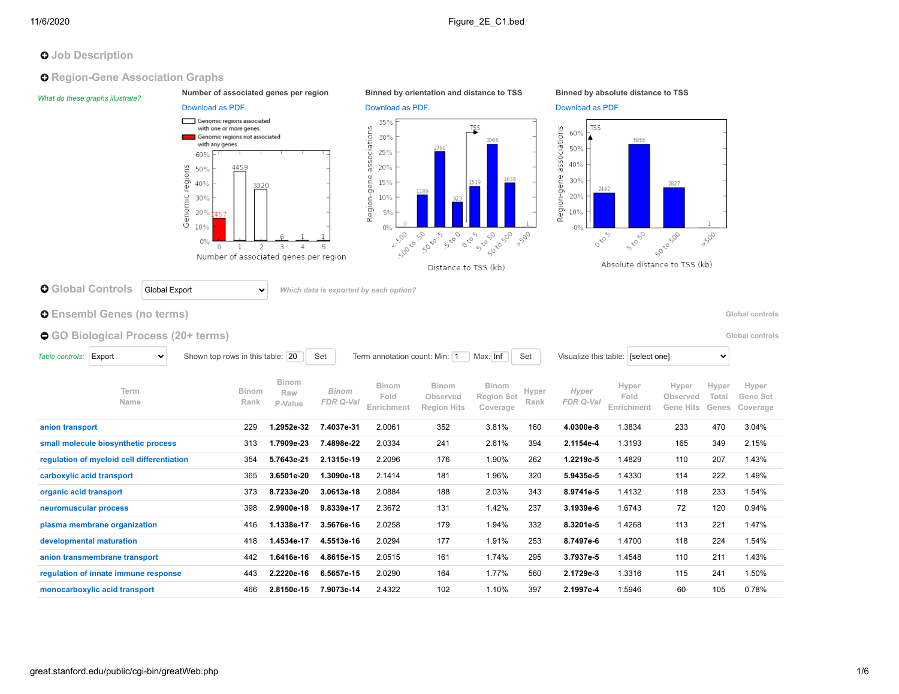# **O** Job Description

### **O** Region-Gene Association Graphs

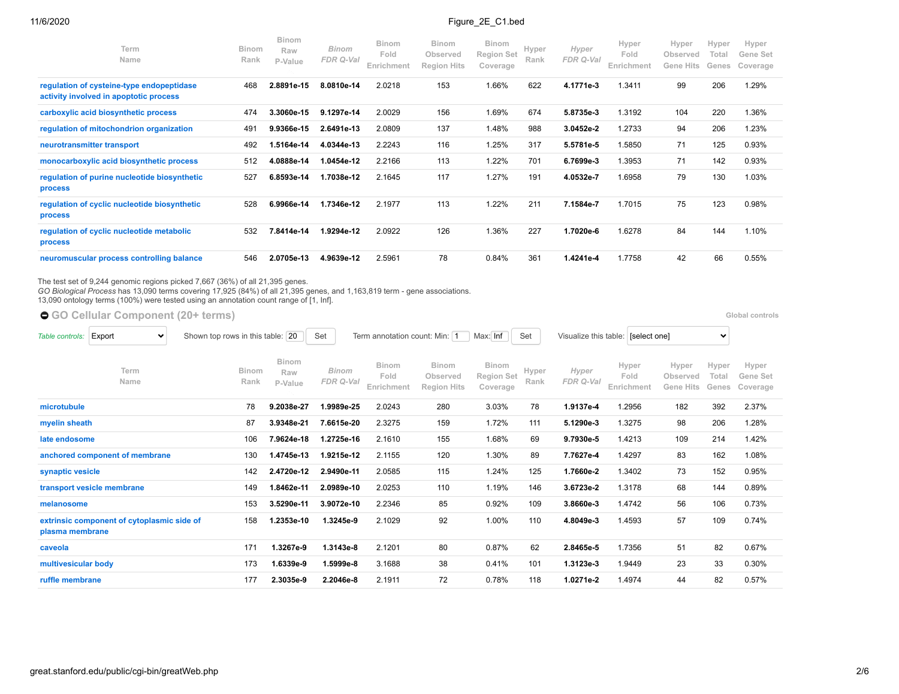| Term<br>Name                                                                        | <b>Binom</b><br>Rank | <b>Binom</b><br>Raw<br>P-Value | Binom<br>FDR Q-Val | <b>Binom</b><br>Fold<br>Enrichment | <b>Binom</b><br>Observed<br><b>Region Hits</b> | <b>Binom</b><br><b>Region Set</b><br>Coverage | Hyper<br>Rank | Hyper<br>FDR Q-Val | Hyper<br>Fold<br>Enrichment | Hyper<br>Observed<br>Gene Hits | Hyper<br>Total<br>Genes | Hyper<br>Gene Set<br>Coverage |
|-------------------------------------------------------------------------------------|----------------------|--------------------------------|--------------------|------------------------------------|------------------------------------------------|-----------------------------------------------|---------------|--------------------|-----------------------------|--------------------------------|-------------------------|-------------------------------|
| regulation of cysteine-type endopeptidase<br>activity involved in apoptotic process | 468                  | 2.8891e-15                     | 8.0810e-14         | 2.0218                             | 153                                            | 1.66%                                         | 622           | 4.1771e-3          | 1.3411                      | 99                             | 206                     | 1.29%                         |
| carboxylic acid biosynthetic process                                                | 474                  | 3.3060e-15                     | 9.1297e-14         | 2.0029                             | 156                                            | 1.69%                                         | 674           | 5.8735e-3          | 1.3192                      | 104                            | 220                     | 1.36%                         |
| regulation of mitochondrion organization                                            | 491                  | 9.9366e-15                     | 2.6491e-13         | 2.0809                             | 137                                            | 1.48%                                         | 988           | 3.0452e-2          | 1.2733                      | 94                             | 206                     | 1.23%                         |
| neurotransmitter transport                                                          | 492                  | 1.5164e-14                     | 4.0344e-13         | 2.2243                             | 116                                            | 1.25%                                         | 317           | 5.5781e-5          | 1.5850                      | 71                             | 125                     | 0.93%                         |
| monocarboxylic acid biosynthetic process                                            | 512                  | 4.0888e-14                     | 1.0454e-12         | 2.2166                             | 113                                            | 1.22%                                         | 701           | 6.7699e-3          | 1.3953                      | 71                             | 142                     | 0.93%                         |
| regulation of purine nucleotide biosynthetic<br><b>process</b>                      | 527                  | 6.8593e-14                     | 1.7038e-12         | 2.1645                             | 117                                            | 1.27%                                         | 191           | 4.0532e-7          | 1.6958                      | 79                             | 130                     | 1.03%                         |
| regulation of cyclic nucleotide biosynthetic<br><b>process</b>                      | 528                  | 6.9966e-14                     | 1.7346e-12         | 2.1977                             | 113                                            | 1.22%                                         | 211           | 7.1584e-7          | 1.7015                      | 75                             | 123                     | 0.98%                         |
| regulation of cyclic nucleotide metabolic<br><b>process</b>                         | 532                  | 8414e-14."                     | 1.9294e-12         | 2.0922                             | 126                                            | 1.36%                                         | 227           | 1.7020e-6          | 1.6278                      | 84                             | 144                     | 1.10%                         |
| neuromuscular process controlling balance                                           | 546                  | 2.0705e-13                     | 4.9639e-12         | 2.5961                             | 78                                             | 0.84%                                         | 361           | 1.4241e-4          | 1.7758                      | 42                             | 66                      | $0.55\%$                      |

The test set of 9,244 genomic regions picked 7,667 (36%) of all 21,395 genes.<br>*GO Biological Process* has 13,090 terms covering 17,925 (84%) of all 21,395 genes, and 1,163,819 term - gene associations.<br>13,090 ontology term

● [GO Cellular Component](https://great-help.atlassian.net/wiki/spaces/GREAT/Gene+Ontology) (20+ terms) **Bloomance Component** (20+ terms)

| Table controls:     | Export<br>$\checkmark$                     | Shown top rows in this table: 20 |                         | Set<br>Term annotation count: Min: 1 | Max: Inf                           | Set                                            | Visualize this table: [select one]<br>$\checkmark$ |               |                    |                             |                                       |                         |                               |
|---------------------|--------------------------------------------|----------------------------------|-------------------------|--------------------------------------|------------------------------------|------------------------------------------------|----------------------------------------------------|---------------|--------------------|-----------------------------|---------------------------------------|-------------------------|-------------------------------|
|                     | Term<br>Name                               | Binom<br>Rank                    | Binom<br>Raw<br>P-Value | <b>Binom</b><br>FDR Q-Val            | <b>Binom</b><br>Fold<br>Enrichment | <b>Binom</b><br>Observed<br><b>Region Hits</b> | <b>Binom</b><br>Region Set<br>Coverage             | Hyper<br>Rank | Hyper<br>FDR Q-Val | Hyper<br>Fold<br>Enrichment | Hyper<br>Observed<br><b>Gene Hits</b> | Hyper<br>Total<br>Genes | Hyper<br>Gene Set<br>Coverage |
| microtubule         |                                            | 78                               | 9.2038e-27              | 9989e-25.                            | 2.0243                             | 280                                            | 3.03%                                              | 78            | 1.9137e-4          | 1.2956                      | 182                                   | 392                     | 2.37%                         |
| myelin sheath       |                                            | 87                               | 3.9348e-21              | 7.6615e-20                           | 2.3275                             | 159                                            | 1.72%                                              | 111           | 5.1290e-3          | 1.3275                      | 98                                    | 206                     | 1.28%                         |
| late endosome       |                                            | 106                              | 7.9624e-18              | 1.2725e-16                           | 2.1610                             | 155                                            | 1.68%                                              | 69            | 9.7930e-5          | 1.4213                      | 109                                   | 214                     | 1.42%                         |
|                     | anchored component of membrane             | 130                              | 1.4745e-13              | 1.9215e-12                           | 2.1155                             | 120                                            | 1.30%                                              | 89            | 7.7627e-4          | 1.4297                      | 83                                    | 162                     | 1.08%                         |
| synaptic vesicle    |                                            | 142                              | 2.4720e-12              | 2.9490e-11                           | 2.0585                             | 115                                            | 1.24%                                              | 125           | 1.7660e-2          | 1.3402                      | 73                                    | 152                     | 0.95%                         |
|                     | transport vesicle membrane                 | 149                              | 1.8462e-11              | 2.0989e-10                           | 2.0253                             | 110                                            | 1.19%                                              | 146           | 3.6723e-2          | 1.3178                      | 68                                    | 144                     | 0.89%                         |
| melanosome          |                                            | 153                              | 3.5290e-11              | 3.9072e-10                           | 2.2346                             | 85                                             | 0.92%                                              | 109           | 3.8660e-3          | 1.4742                      | 56                                    | 106                     | 0.73%                         |
| plasma membrane     | extrinsic component of cytoplasmic side of | 158                              | 1.2353e-10              | 1.3245e-9                            | 2.1029                             | 92                                             | 1.00%                                              | 110           | 4.8049e-3          | 1.4593                      | 57                                    | 109                     | 0.74%                         |
| caveola             |                                            | 171                              | 1.3267e-9               | 1.3143e-8                            | 2.1201                             | 80                                             | 0.87%                                              | 62            | 2.8465e-5          | 1.7356                      | 51                                    | 82                      | 0.67%                         |
| multivesicular body |                                            | 173                              | 1.6339e-9               | 1.5999e-8                            | 3.1688                             | 38                                             | 0.41%                                              | 101           | 1.3123e-3          | 1.9449                      | 23                                    | 33                      | 0.30%                         |
| ruffle membrane     |                                            | 177                              | 2.3035e-9               | 2.2046e-8                            | 2.1911                             | 72                                             | 0.78%                                              | 118           | 1.0271e-2          | 1.4974                      | 44                                    | 82                      | 0.57%                         |
|                     |                                            |                                  |                         |                                      |                                    |                                                |                                                    |               |                    |                             |                                       |                         |                               |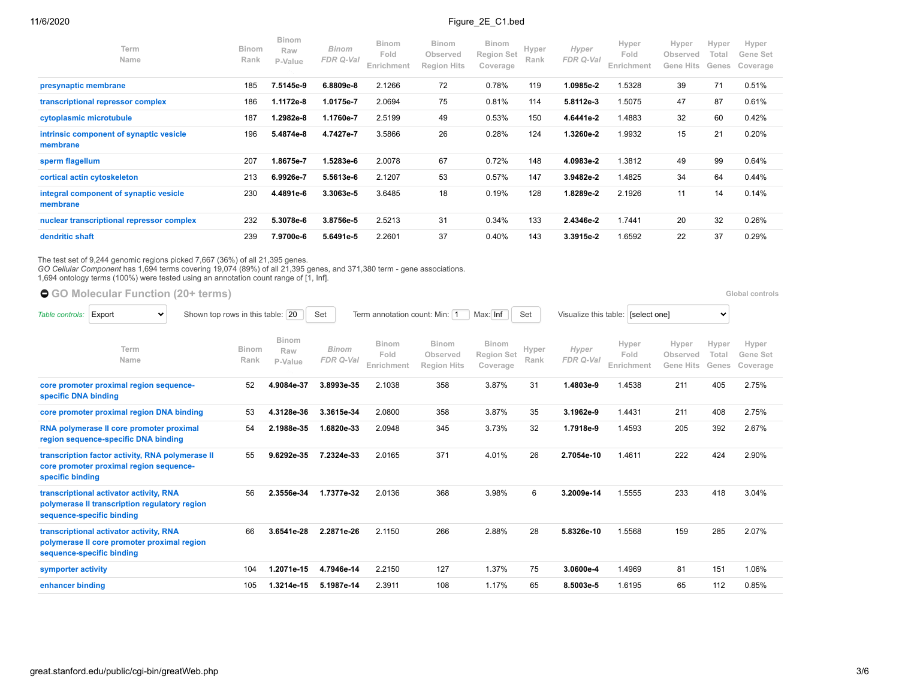| Term<br>Name                                        | <b>Binom</b><br>Rank | <b>Binom</b><br>Raw<br>P-Value | <b>Binom</b><br>FDR Q-Val | <b>Binom</b><br>Fold<br>Enrichment | <b>Binom</b><br>Observed<br><b>Region Hits</b> | <b>Binom</b><br><b>Region Set</b><br>Coverage | Hyper<br>Rank | Hyper<br>FDR Q-Val | Hyper<br>Fold<br>Enrichment | Hyper<br>Observed<br><b>Gene Hits</b> | Hyper<br>Total<br>Genes | Hyper<br>Gene Set<br>Coverage |
|-----------------------------------------------------|----------------------|--------------------------------|---------------------------|------------------------------------|------------------------------------------------|-----------------------------------------------|---------------|--------------------|-----------------------------|---------------------------------------|-------------------------|-------------------------------|
| presynaptic membrane                                | 185                  | 7.5145e-9                      | 6.8809e-8                 | 2.1266                             | 72                                             | 0.78%                                         | 119           | 1.0985e-2          | 1.5328                      | 39                                    | 71                      | 0.51%                         |
| transcriptional repressor complex                   | 186                  | 1.1172e-8                      | 1.0175e-7                 | 2.0694                             | 75                                             | 0.81%                                         | 114           | 5.8112e-3          | 1.5075                      | 47                                    | 87                      | 0.61%                         |
| cytoplasmic microtubule                             | 187                  | 1.2982e-8                      | 1.1760e-7                 | 2.5199                             | 49                                             | 0.53%                                         | 150           | 4.6441e-2          | 1.4883                      | 32                                    | 60                      | 0.42%                         |
| intrinsic component of synaptic vesicle<br>membrane | 196                  | 5.4874e-8                      | 4.7427e-7                 | 3.5866                             | 26                                             | 0.28%                                         | 124           | 1.3260e-2          | 1.9932                      | 15                                    | 21                      | 0.20%                         |
| sperm flagellum                                     | 207                  | 1.8675e-7                      | 1.5283e-6                 | 2.0078                             | 67                                             | 0.72%                                         | 148           | 4.0983e-2          | 1.3812                      | 49                                    | 99                      | 0.64%                         |
| cortical actin cytoskeleton                         | 213                  | 6.9926e-7                      | 5.5613e-6                 | 2.1207                             | 53                                             | 0.57%                                         | 147           | 3.9482e-2          | 1.4825                      | 34                                    | 64                      | 0.44%                         |
| integral component of synaptic vesicle<br>membrane  | 230                  | 4.4891e-6                      | 3.3063e-5                 | 3.6485                             | 18                                             | 0.19%                                         | 128           | 1.8289e-2          | 2.1926                      | 11                                    | 14                      | 0.14%                         |
| nuclear transcriptional repressor complex           | 232                  | 5.3078e-6                      | 3.8756e-5                 | 2.5213                             | 31                                             | 0.34%                                         | 133           | 2.4346e-2          | 1.7441                      | 20                                    | 32                      | 0.26%                         |
| dendritic shaft                                     | 239                  | 7.9700e-6                      | 5.6491e-5                 | 2.2601                             | 37                                             | 0.40%                                         | 143           | 3.3915e-2          | 1.6592                      | 22                                    | 37                      | 0.29%                         |

The test set of 9,244 genomic regions picked 7,667 (36%) of all 21,395 genes.<br>*GO Cellular Component* has 1,694 terms covering 19,074 (89%) of all 21,395 genes, and 371,380 term - gene associations.<br>1,694 ontology terms (1

● [GO Molecular Function](https://great-help.atlassian.net/wiki/spaces/GREAT/Gene+Ontology) (20+ terms) **blood controls and the example of the example of the example of the example of the example of the example of the example of the example of the example of the example of the example of** 

 $\checkmark$ 

| Term<br>Name                                                                                                          | <b>Binom</b><br>Rank | Binom<br>Raw<br>P-Value | Binom<br>FDR Q-Val | <b>Binom</b><br>Fold<br>Enrichment | <b>Binom</b><br>Observed<br><b>Region Hits</b> | <b>Binom</b><br><b>Region Set</b><br>Coverage | Hyper<br>Rank | Hyper<br>FDR Q-Val | Hyper<br>Fold<br>Enrichment | Hyper<br>Observed<br><b>Gene Hits</b> | Hyper<br>Total<br>Genes | Hyper<br>Gene Set<br>Coverage |  |
|-----------------------------------------------------------------------------------------------------------------------|----------------------|-------------------------|--------------------|------------------------------------|------------------------------------------------|-----------------------------------------------|---------------|--------------------|-----------------------------|---------------------------------------|-------------------------|-------------------------------|--|
| core promoter proximal region sequence-<br>specific DNA binding                                                       | 52                   | 4.9084e-37              | 3.8993e-35         | 2.1038                             | 358                                            | 3.87%                                         | 31            | 1.4803e-9          | 1.4538                      | 211                                   | 405                     | 2.75%                         |  |
| core promoter proximal region DNA binding                                                                             | 53                   | 4.3128e-36              | 3.3615e-34         | 2.0800                             | 358                                            | 3.87%                                         | 35            | 3.1962e-9          | 1.4431                      | 211                                   | 408                     | 2.75%                         |  |
| RNA polymerase II core promoter proximal<br>region sequence-specific DNA binding                                      | 54                   | 2.1988e-35              | 1.6820e-33         | 2.0948                             | 345                                            | 3.73%                                         | 32            | 1.7918e-9          | 1.4593                      | 205                                   | 392                     | 2.67%                         |  |
| transcription factor activity, RNA polymerase II<br>core promoter proximal region sequence-<br>specific binding       | 55                   | 9.6292e-35              | 7.2324e-33         | 2.0165                             | 371                                            | 4.01%                                         | 26            | 2.7054e-10         | 1.4611                      | 222                                   | 424                     | 2.90%                         |  |
| transcriptional activator activity, RNA<br>polymerase II transcription regulatory region<br>sequence-specific binding | 56                   | 2.3556e-34              | 1.7377e-32         | 2.0136                             | 368                                            | 3.98%                                         | 6             | 3.2009e-14         | 1.5555                      | 233                                   | 418                     | 3.04%                         |  |
| transcriptional activator activity, RNA<br>polymerase II core promoter proximal region<br>sequence-specific binding   | 66                   | 3.6541e-28              | 2.2871e-26         | 2.1150                             | 266                                            | 2.88%                                         | 28            | 5.8326e-10         | 1.5568                      | 159                                   | 285                     | 2.07%                         |  |
| symporter activity                                                                                                    | 104                  | 1.2071e-15              | 4.7946e-14         | 2.2150                             | 127                                            | 1.37%                                         | 75            | 3.0600e-4          | 1.4969                      | 81                                    | 151                     | 1.06%                         |  |
| enhancer binding                                                                                                      | 105                  | 1.3214e-15              | 5.1987e-14         | 2.3911                             | 108                                            | 1.17%                                         | 65            | 8.5003e-5          | 1.6195                      | 65                                    | 112                     | 0.85%                         |  |
|                                                                                                                       |                      |                         |                    |                                    |                                                |                                               |               |                    |                             |                                       |                         |                               |  |

*Table controls:* Export v Shown top rows in this table: 20 Set Term annotation count: Min: 1 Max: Inf Set Visualize this table: [select one]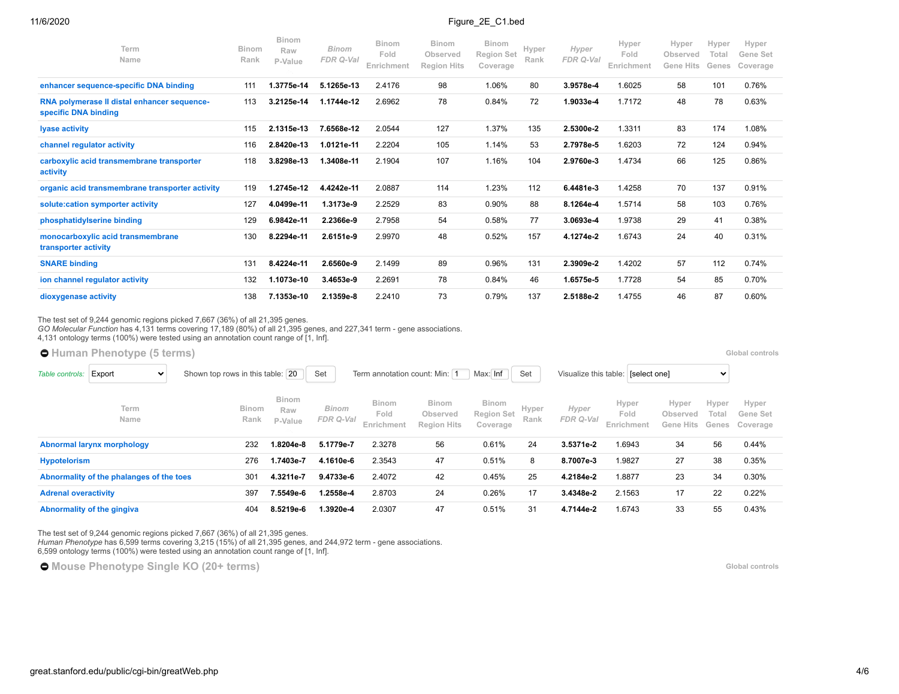| Term<br>Name                                                        | <b>Binom</b><br>Rank | <b>Binom</b><br>Raw<br>P-Value | <b>Binom</b><br>FDR Q-Val | Binom<br>Fold<br>Enrichment | <b>Binom</b><br>Observed<br><b>Region Hits</b> | <b>Binom</b><br><b>Region Set</b><br>Coverage | Hyper<br>Rank | Hyper<br><b>FDR Q-Val</b> | Hyper<br>Fold<br>Enrichment | Hyper<br>Observed<br><b>Gene Hits</b> | Hyper<br>Total<br>Genes | Hyper<br>Gene Set<br>Coverage |
|---------------------------------------------------------------------|----------------------|--------------------------------|---------------------------|-----------------------------|------------------------------------------------|-----------------------------------------------|---------------|---------------------------|-----------------------------|---------------------------------------|-------------------------|-------------------------------|
| enhancer sequence-specific DNA binding                              | 111                  | 1.3775e-14                     | 5.1265e-13                | 2.4176                      | 98                                             | 1.06%                                         | 80            | 3.9578e-4                 | 1.6025                      | 58                                    | 101                     | 0.76%                         |
| RNA polymerase II distal enhancer sequence-<br>specific DNA binding | 113                  | 3.2125e-14                     | 1.1744e-12                | 2.6962                      | 78                                             | 0.84%                                         | 72            | 1.9033e-4                 | 1.7172                      | 48                                    | 78                      | 0.63%                         |
| <b>Ivase activity</b>                                               | 115                  | 2.1315e-13                     | 7.6568e-12                | 2.0544                      | 127                                            | 1.37%                                         | 135           | 2.5300e-2                 | 1.3311                      | 83                                    | 174                     | 1.08%                         |
| channel regulator activity                                          | 116                  | 2.8420e-13                     | 1.0121e-11                | 2.2204                      | 105                                            | 1.14%                                         | 53            | 2.7978e-5                 | 1.6203                      | 72                                    | 124                     | 0.94%                         |
| carboxylic acid transmembrane transporter<br>activity               | 118                  | 3.8298e-13                     | 1.3408e-11                | 2.1904                      | 107                                            | 1.16%                                         | 104           | 2.9760e-3                 | 1.4734                      | 66                                    | 125                     | 0.86%                         |
| organic acid transmembrane transporter activity                     | 119                  | 1.2745e-12                     | 4.4242e-11                | 2.0887                      | 114                                            | 1.23%                                         | 112           | 6.4481e-3                 | 1.4258                      | 70                                    | 137                     | 0.91%                         |
| solute: cation symporter activity                                   | 127                  | 4.0499e-11                     | 1.3173e-9                 | 2.2529                      | 83                                             | 0.90%                                         | 88            | 8.1264e-4                 | 1.5714                      | 58                                    | 103                     | 0.76%                         |
| phosphatidylserine binding                                          | 129                  | 6.9842e-11                     | 2.2366e-9                 | 2.7958                      | 54                                             | 0.58%                                         | 77            | 3.0693e-4                 | 1.9738                      | 29                                    | 41                      | 0.38%                         |
| monocarboxylic acid transmembrane<br>transporter activity           | 130                  | 8.2294e-11                     | 2.6151e-9                 | 2.9970                      | 48                                             | 0.52%                                         | 157           | 4.1274e-2                 | 1.6743                      | 24                                    | 40                      | 0.31%                         |
| <b>SNARE binding</b>                                                | 131                  | 8.4224e-11                     | 2.6560e-9                 | 2.1499                      | 89                                             | 0.96%                                         | 131           | 2.3909e-2                 | 1.4202                      | 57                                    | 112                     | 0.74%                         |
| ion channel regulator activity                                      | 132                  | 1.1073e-10                     | 3.4653e-9                 | 2.2691                      | 78                                             | 0.84%                                         | 46            | 1.6575e-5                 | 1.7728                      | 54                                    | 85                      | 0.70%                         |
| dioxygenase activity                                                | 138                  | 7.1353e-10                     | 2.1359e-8                 | 2.2410                      | 73                                             | 0.79%                                         | 137           | 2.5188e-2                 | 1.4755                      | 46                                    | 87                      | 0.60%                         |

The test set of 9,244 genomic regions picked 7,667 (36%) of all 21,395 genes.

*GO Molecular Function* has 4,131 terms covering 17,189 (80%) of all 21,395 genes, and 227,341 term - gene associations.

4,131 ontology terms (100%) were tested using an annotation count range of [1, Inf].

|                             | <b>O</b> Human Phenotype (5 terms)       |                                  |                                                         |                           |                                    |                                                |                                               |               |                    |                                    |                                |                         | Global controls               |
|-----------------------------|------------------------------------------|----------------------------------|---------------------------------------------------------|---------------------------|------------------------------------|------------------------------------------------|-----------------------------------------------|---------------|--------------------|------------------------------------|--------------------------------|-------------------------|-------------------------------|
| Table controls:             | Export<br>$\checkmark$                   | Shown top rows in this table: 20 | Max: Inf<br>Set<br>Term annotation count: Min: 1<br>Set |                           |                                    |                                                |                                               |               |                    | Visualize this table: [select one] |                                |                         |                               |
|                             | Term<br>Name                             | Binom<br>Rank                    | <b>Binom</b><br>Raw<br>P-Value                          | <b>Binom</b><br>FDR Q-Val | <b>Binom</b><br>Fold<br>Enrichment | <b>Binom</b><br>Observed<br><b>Region Hits</b> | <b>Binom</b><br><b>Region Set</b><br>Coverage | Hyper<br>Rank | Hyper<br>FDR Q-Val | Hyper<br>Fold<br>Enrichment        | Hyper<br>Observed<br>Gene Hits | Hyper<br>Total<br>Genes | Hyper<br>Gene Set<br>Coverage |
|                             | Abnormal larynx morphology               | 232                              | 8-8204e.l                                               | 5.1779e-7                 | 2.3278                             | 56                                             | 0.61%                                         | 24            | 3.5371e-2          | 1.6943                             | 34                             | 56                      | 0.44%                         |
| <b>Hypotelorism</b>         |                                          | 276                              | 1.7403e-7                                               | 4.1610e-6                 | 2.3543                             | 47                                             | 0.51%                                         | 8             | 8.7007e-3          | 1.9827                             | 27                             | 38                      | 0.35%                         |
|                             | Abnormality of the phalanges of the toes | 301                              | 4.3211e-7                                               | 9.4733e-6                 | 2.4072                             | 42                                             | 0.45%                                         | 25            | 4.2184e-2          | 1.8877                             | 23                             | 34                      | 0.30%                         |
| <b>Adrenal overactivity</b> |                                          | 397                              | 5549e-6.                                                | 1.2558e-4                 | 2.8703                             | 24                                             | 0.26%                                         | 17            | 3.4348e-2          | 2.1563                             | 17                             | 22                      | 0.22%                         |
|                             | Abnormality of the gingiva               | 404                              | 8.5219e-6                                               | 1.3920e-4                 | 2.0307                             | 47                                             | 0.51%                                         | 31            | 4.7144e-2          | 1.6743                             | 33                             | 55                      | 0.43%                         |

The test set of 9,244 genomic regions picked 7,667 (36%) of all 21,395 genes.

*Human Phenotype* has 6,599 terms covering 3,215 (15%) of all 21,395 genes, and 244,972 term - gene associations. 6,599 ontology terms (100%) were tested using an annotation count range of [1, Inf].

 $\bullet$  [Mouse Phenotype Single KO](https://great-help.atlassian.net/wiki/spaces/GREAT/Mouse+Phenotype+Single+KO) (20+ terms) **Global Controls Global controls**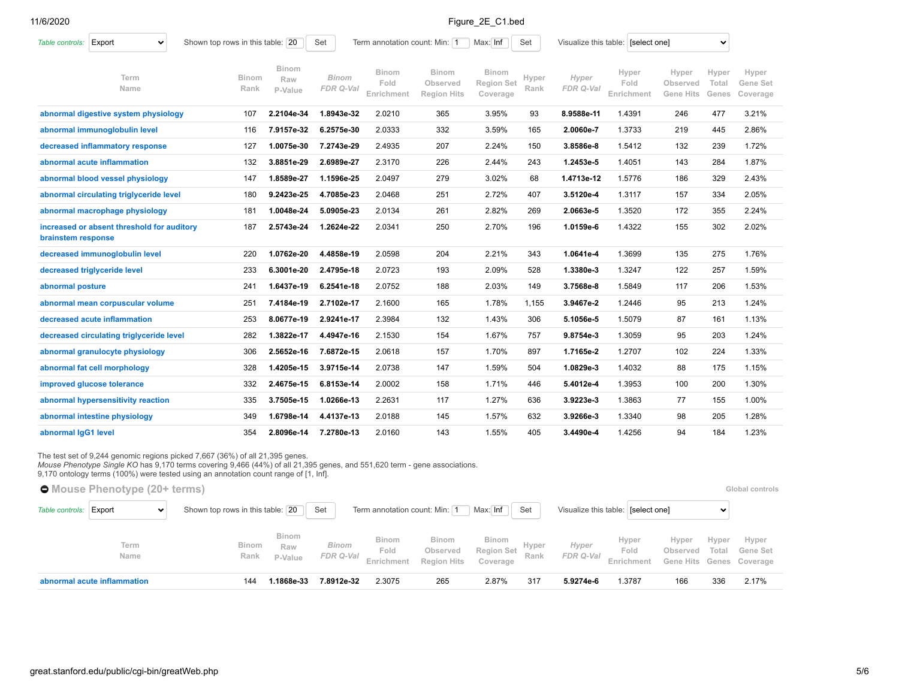| Export<br>Table controls:<br>$\checkmark$                        | Shown top rows in this table: 20 |                                | Term annotation count: Min: 1<br>Set<br>Max: Inf<br>Set |                                    |                                                |                                               |               |                    | Visualize this table: [select one]<br>v. |                                |                         |                               |  |
|------------------------------------------------------------------|----------------------------------|--------------------------------|---------------------------------------------------------|------------------------------------|------------------------------------------------|-----------------------------------------------|---------------|--------------------|------------------------------------------|--------------------------------|-------------------------|-------------------------------|--|
| Term<br>Name                                                     | <b>Binom</b><br>Rank             | <b>Binom</b><br>Raw<br>P-Value | <b>Binom</b><br>FDR Q-Val                               | <b>Binom</b><br>Fold<br>Enrichment | <b>Binom</b><br>Observed<br><b>Region Hits</b> | <b>Binom</b><br><b>Region Set</b><br>Coverage | Hyper<br>Rank | Hyper<br>FDR Q-Val | Hyper<br>Fold<br>Enrichment              | Hyper<br>Observed<br>Gene Hits | Hyper<br>Total<br>Genes | Hyper<br>Gene Set<br>Coverage |  |
| abnormal digestive system physiology                             | 107                              | 2.2104e-34                     | 1.8943e-32                                              | 2.0210                             | 365                                            | 3.95%                                         | 93            | 8.9588e-11         | 1.4391                                   | 246                            | 477                     | 3.21%                         |  |
| abnormal immunoglobulin level                                    | 116                              | 7.9157e-32                     | 6.2575e-30                                              | 2.0333                             | 332                                            | 3.59%                                         | 165           | 2.0060e-7          | 1.3733                                   | 219                            | 445                     | 2.86%                         |  |
| decreased inflammatory response                                  | 127                              | 1.0075e-30                     | 7.2743e-29                                              | 2.4935                             | 207                                            | 2.24%                                         | 150           | 3.8586e-8          | 1.5412                                   | 132                            | 239                     | 1.72%                         |  |
| abnormal acute inflammation                                      | 132                              | 3.8851e-29                     | 2.6989e-27                                              | 2.3170                             | 226                                            | 2.44%                                         | 243           | 1.2453e-5          | 1.4051                                   | 143                            | 284                     | 1.87%                         |  |
| abnormal blood vessel physiology                                 | 147                              | 1.8589e-27                     | 1.1596e-25                                              | 2.0497                             | 279                                            | 3.02%                                         | 68            | 1.4713e-12         | 1.5776                                   | 186                            | 329                     | 2.43%                         |  |
| abnormal circulating triglyceride level                          | 180                              | 9.2423e-25                     | 4.7085e-23                                              | 2.0468                             | 251                                            | 2.72%                                         | 407           | 3.5120e-4          | 1.3117                                   | 157                            | 334                     | 2.05%                         |  |
| abnormal macrophage physiology                                   | 181                              | 1.0048e-24                     | 5.0905e-23                                              | 2.0134                             | 261                                            | 2.82%                                         | 269           | 2.0663e-5          | 1.3520                                   | 172                            | 355                     | 2.24%                         |  |
| increased or absent threshold for auditory<br>brainstem response | 187                              | 2.5743e-24                     | 1.2624e-22                                              | 2.0341                             | 250                                            | 2.70%                                         | 196           | 1.0159e-6          | 1.4322                                   | 155                            | 302                     | 2.02%                         |  |
| decreased immunoglobulin level                                   | 220                              | 1.0762e-20                     | 4.4858e-19                                              | 2.0598                             | 204                                            | 2.21%                                         | 343           | 1.0641e-4          | 1.3699                                   | 135                            | 275                     | 1.76%                         |  |
| decreased triglyceride level                                     | 233                              | 6.3001e-20                     | 2.4795e-18                                              | 2.0723                             | 193                                            | 2.09%                                         | 528           | 1.3380e-3          | 1.3247                                   | 122                            | 257                     | 1.59%                         |  |
| abnormal posture                                                 | 241                              | 1.6437e-19                     | 6.2541e-18                                              | 2.0752                             | 188                                            | 2.03%                                         | 149           | 3.7568e-8          | 1.5849                                   | 117                            | 206                     | 1.53%                         |  |
| abnormal mean corpuscular volume                                 | 251                              | 7.4184e-19                     | 2.7102e-17                                              | 2.1600                             | 165                                            | 1.78%                                         | 1,155         | 3.9467e-2          | 1.2446                                   | 95                             | 213                     | 1.24%                         |  |
| decreased acute inflammation                                     | 253                              | 8.0677e-19                     | 2.9241e-17                                              | 2.3984                             | 132                                            | 1.43%                                         | 306           | 5.1056e-5          | 1.5079                                   | 87                             | 161                     | 1.13%                         |  |
| decreased circulating triglyceride level                         | 282                              | 1.3822e-17                     | 4.4947e-16                                              | 2.1530                             | 154                                            | 1.67%                                         | 757           | 9.8754e-3          | 1.3059                                   | 95                             | 203                     | 1.24%                         |  |
| abnormal granulocyte physiology                                  | 306                              | 2.5652e-16                     | 7.6872e-15                                              | 2.0618                             | 157                                            | 1.70%                                         | 897           | 1.7165e-2          | 1.2707                                   | 102                            | 224                     | 1.33%                         |  |
| abnormal fat cell morphology                                     | 328                              | 1.4205e-15                     | 3.9715e-14                                              | 2.0738                             | 147                                            | 1.59%                                         | 504           | 1.0829e-3          | 1.4032                                   | 88                             | 175                     | 1.15%                         |  |
| improved glucose tolerance                                       | 332                              | 2.4675e-15                     | 6.8153e-14                                              | 2.0002                             | 158                                            | 1.71%                                         | 446           | 5.4012e-4          | 1.3953                                   | 100                            | 200                     | 1.30%                         |  |
| abnormal hypersensitivity reaction                               | 335                              | 3.7505e-15                     | 1.0266e-13                                              | 2.2631                             | 117                                            | 1.27%                                         | 636           | 3.9223e-3          | 1.3863                                   | 77                             | 155                     | 1.00%                         |  |
| abnormal intestine physiology                                    | 349                              | 1.6798e-14                     | 4.4137e-13                                              | 2.0188                             | 145                                            | 1.57%                                         | 632           | 3.9266e-3          | 1.3340                                   | 98                             | 205                     | 1.28%                         |  |
| abnormal IgG1 level                                              | 354                              | 2.8096e-14                     | 7.2780e-13                                              | 2.0160                             | 143                                            | 1.55%                                         | 405           | 3.4490e-4          | 1.4256                                   | 94                             | 184                     | 1.23%                         |  |

The test set of 9,244 genomic regions picked 7,667 (36%) of all 21,395 genes.<br>*Mouse Phenotype Single KO* has 9,170 terms covering 9,466 (44%) of all 21,395 genes, and 551,620 term - gene associations.

9,170 ontology terms (100%) were tested using an annotation count range of [1, Inf].

**C** [Mouse Phenotype](https://great-help.atlassian.net/wiki/spaces/GREAT/Mouse+Phenotype) (20+ terms) **Clobal controls [Global controls](http://great.stanford.edu/public/cgi-bin/greatWeb.php#global_controls_header) Global controls** [Table controls:](https://great-help.atlassian.net/wiki/spaces/GREAT/pages/655462/Output#Output-OntologyTableControls) Export v Shown top rows in this table: 20 Set Term annotation count: Min: 1 Max: Inf Set Visualize this table: [select one]  $\checkmark$ **Binom Binom Binom Binom Hyper Hyper Hyper Hyper [Binom](http://great.stanford.edu/public/cgi-bin/yui-dt6-href-RRank)** *Binom* **[Hyper](http://great.stanford.edu/public/cgi-bin/yui-dt6-href-GRank) Term** *Hyper* **Raw Fold Observed [Region Set](http://great.stanford.edu/public/cgi-bin/yui-dt6-href-RSetCov) Fold Observed Total Gene Set [Name](http://great.stanford.edu/public/cgi-bin/yui-dt6-href-Desc)** *FDR Q-Val* **Rank** *FDR Q-Val* **Rank [P-Value](http://great.stanford.edu/public/cgi-bin/yui-dt6-href-RRawp) [Enrichment](http://great.stanford.edu/public/cgi-bin/yui-dt6-href-RFold) [Region Hits](http://great.stanford.edu/public/cgi-bin/yui-dt6-href-RHits) Coverage [Enrichment](http://great.stanford.edu/public/cgi-bin/yui-dt6-href-GFold) [Coverage](http://great.stanford.edu/public/cgi-bin/yui-dt6-href-GSetCov) [Gene Hits](http://great.stanford.edu/public/cgi-bin/yui-dt6-href-GHits) [Genes](http://great.stanford.edu/public/cgi-bin/yui-dt6-href-GAnnot) [abnormal acute inflammation](http://great.stanford.edu/public/cgi-bin/showTermDetails.php?termId=MP:0002498&ontoName=MGIPhenotype&species=mm10&ontoUiName=Mouse%20Phenotype&foreName=Figure_2E_C1.bed&backName=&sessionName=20201106-public-4.0.4-ioiBJm)** 144 **1.1868e-33 7.8912e-32** 2.3075 265 2.87% 317 **5.9274e-6** 1.3787 166 336 2.17%